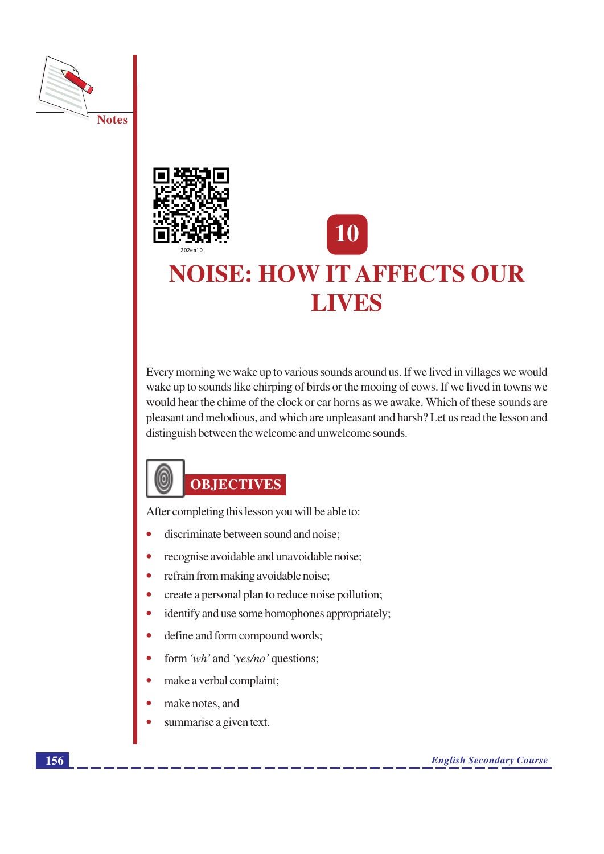



# 10 **NOISE: HOW IT AFFECTS OUR LIVES**

Every morning we wake up to various sounds around us. If we lived in villages we would wake up to sounds like chirping of birds or the mooing of cows. If we lived in towns we would hear the chime of the clock or car horns as we awake. Which of these sounds are pleasant and melodious, and which are unpleasant and harsh? Let us read the lesson and distinguish between the welcome and unwelcome sounds.



After completing this lesson you will be able to:

- discriminate between sound and noise;  $\bullet$
- recognise avoidable and unavoidable noise;
- refrain from making avoidable noise;  $\bullet$
- create a personal plan to reduce noise pollution;
- identify and use some homophones appropriately;  $\bullet$
- define and form compound words;  $\bullet$
- form 'wh' and 'yes/no' questions;
- make a verbal complaint;  $\bullet$
- make notes, and
- summarise a given text.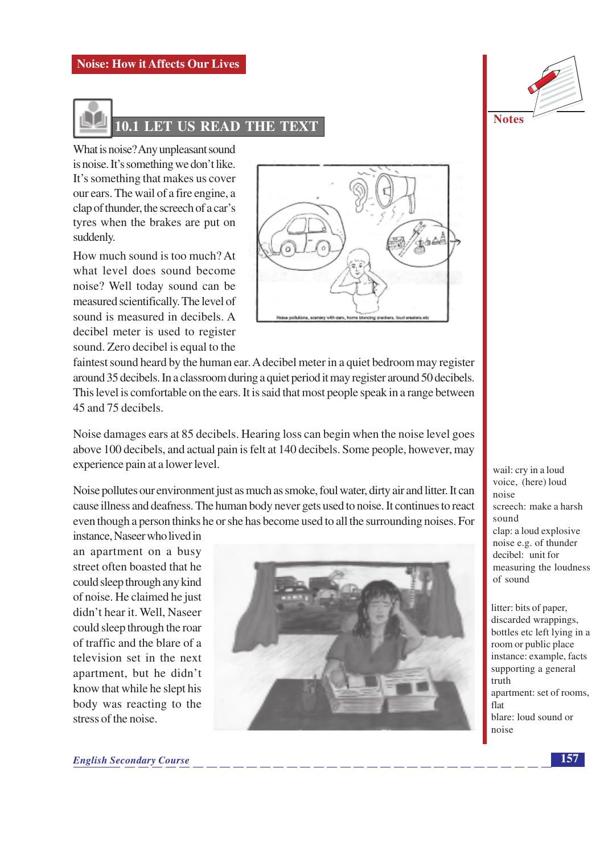

What is noise? Any unpleasant sound is noise. It's something we don't like. It's something that makes us cover our ears. The wail of a fire engine, a clap of thunder, the screech of a car's tyres when the brakes are put on suddenly.

How much sound is too much? At what level does sound become noise? Well today sound can be measured scientifically. The level of sound is measured in decibels. A decibel meter is used to register sound. Zero decibel is equal to the



faintest sound heard by the human ear. A decibel meter in a quiet bedroom may register around 35 decibels. In a classroom during a quiet period it may register around 50 decibels. This level is comfortable on the ears. It is said that most people speak in a range between 45 and 75 decibels.

Noise damages ears at 85 decibels. Hearing loss can begin when the noise level goes above 100 decibels, and actual pain is felt at 140 decibels. Some people, however, may experience pain at a lower level.

Noise pollutes our environment just as much as smoke, foul water, dirty air and litter. It can cause illness and deafness. The human body never gets used to noise. It continues to react even though a person thinks he or she has become used to all the surrounding noises. For

instance, Naseer who lived in an apartment on a busy street often boasted that he could sleep through any kind of noise. He claimed he just didn't hear it. Well, Naseer could sleep through the roar of traffic and the blare of a television set in the next apartment, but he didn't know that while he slept his body was reacting to the stress of the noise



| <b>Notes</b> |  |
|--------------|--|

wail: cry in a loud voice, (here) loud  $n \overline{\Omega}$ screech: make a harsh sound clap: a loud explosive noise e.g. of thunder decibel: unit for measuring the loudness of sound

litter: bits of paper, discarded wrappings, bottles etc left lying in a room or public place instance: example, facts supporting a general truth apartment: set of rooms, flat blare: loud sound or noise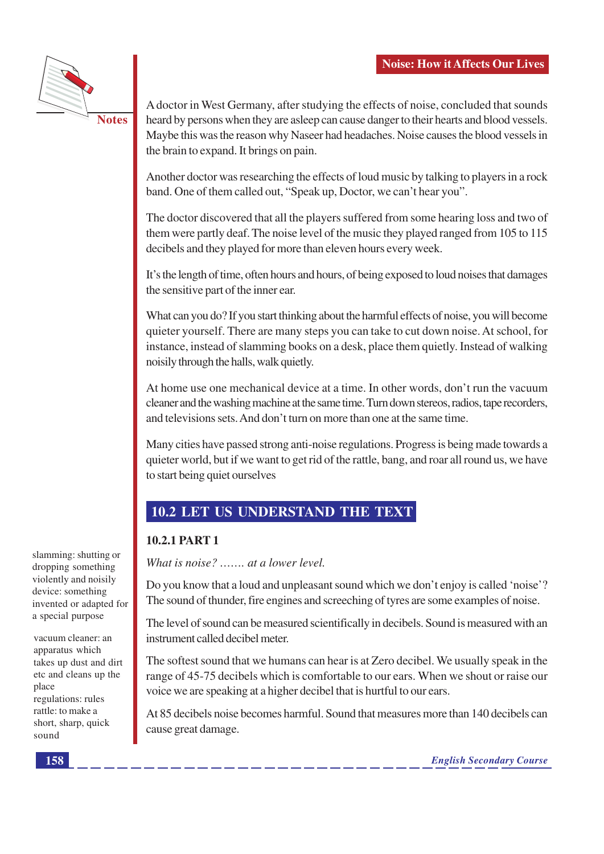

**Notes** 

A doctor in West Germany, after studying the effects of noise, concluded that sounds heard by persons when they are as leep can cause danger to their hearts and blood vessels. Maybe this was the reason why Naseer had headaches. Noise causes the blood vessels in the brain to expand. It brings on pain.

Another doctor was researching the effects of loud music by talking to players in a rock band. One of them called out, "Speak up, Doctor, we can't hear you".

The doctor discovered that all the players suffered from some hearing loss and two of them were partly deaf. The noise level of the music they played ranged from 105 to 115 decibels and they played for more than eleven hours every week.

It's the length of time, often hours and hours, of being exposed to loud noises that damages the sensitive part of the inner ear.

What can you do? If you start thinking about the harmful effects of noise, you will become quieter yourself. There are many steps you can take to cut down noise. At school, for instance, instead of slamming books on a desk, place them quietly. Instead of walking noisily through the halls, walk quietly.

At home use one mechanical device at a time. In other words, don't run the vacuum cleaner and the washing machine at the same time. Turn down stereos, radios, tape recorders, and televisions sets. And don't turn on more than one at the same time.

Many cities have passed strong anti-noise regulations. Progress is being made towards a quieter world, but if we want to get rid of the rattle, bang, and roar all round us, we have to start being quiet ourselves

### **10.2 LET US UNDERSTAND THE TEXT**

#### 10.2.1 PART 1

What is noise?  $\ldots$  at a lower level.

Do you know that a loud and unpleasant sound which we don't enjoy is called 'noise'? The sound of thunder, fire engines and screeching of tyres are some examples of noise.

The level of sound can be measured scientifically in decibels. Sound is measured with an instrument called decibel meter.

The softest sound that we humans can hear is at Zero decibel. We usually speak in the range of 45-75 decibels which is comfortable to our ears. When we shout or raise our voice we are speaking at a higher decibel that is hurtful to our ears.

At 85 decibels noise becomes harmful. Sound that measures more than 140 decibels can cause great damage.

slamming: shutting or dropping something violently and noisily device: something invented or adapted for a special purpose

vacuum cleaner: an apparatus which takes up dust and dirt etc and cleans up the place regulations: rules rattle: to make a short, sharp, quick sound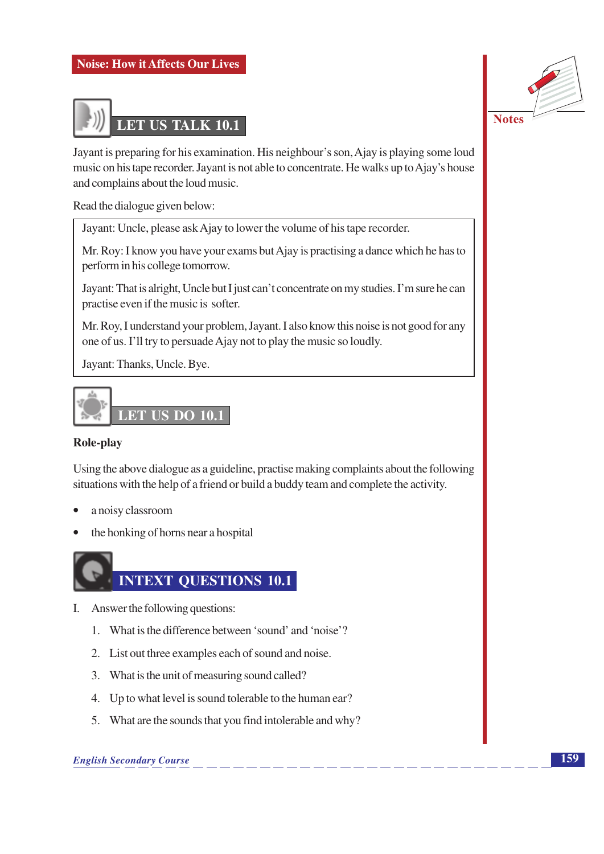

**Notes** 

Jayant is preparing for his examination. His neighbour's son, Ajay is playing some loud music on his tape recorder. Jayant is not able to concentrate. He walks up to Ajay's house and complains about the loud music.

Read the dialogue given below:

Jayant: Uncle, please ask Ajay to lower the volume of his tape recorder.

Mr. Roy: I know you have your exams but Ajay is practising a dance which he has to perform in his college tomorrow.

Jayant: That is alright, Uncle but I just can't concentrate on my studies. I'm sure he can practise even if the music is softer.

Mr. Roy, I understand your problem, Jayant. I also know this noise is not good for any one of us. I'll try to persuade Ajay not to play the music so loudly.

Jayant: Thanks, Uncle. Bye.



#### Role-play

Using the above dialogue as a guideline, practise making complaints about the following situations with the help of a friend or build a buddy team and complete the activity.

- a noisy classroom  $\bullet$
- the honking of horns near a hospital



- I. Answer the following questions:
	- 1. What is the difference between 'sound' and 'noise'?
	- 2. List out three examples each of sound and noise.
	- 3. What is the unit of measuring sound called?
	- 4. Up to what level is sound tolerable to the human ear?
	- 5. What are the sounds that you find intolerable and why?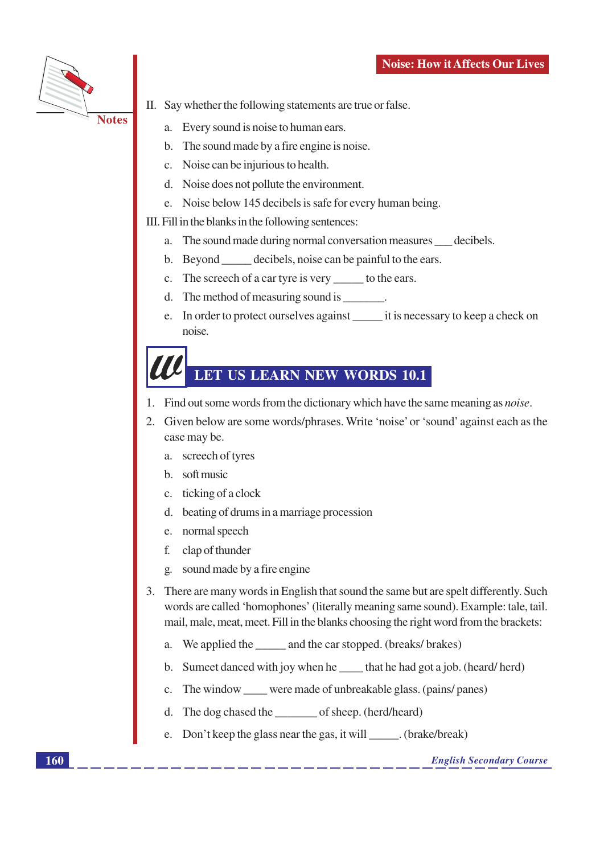

- II. Say whether the following statements are true or false.
	- a. Every sound is noise to human ears.
	- b. The sound made by a fire engine is noise.
	- c. Noise can be injurious to health.
	- d. Noise does not pollute the environment.
	- e. Noise below 145 decibels is safe for every human being.

III. Fill in the blanks in the following sentences:

- a. The sound made during normal conversation measures decibels.
- b. Beyond <u>example decibels</u>, noise can be painful to the ears.
- c. The screech of a car tyre is very \_\_\_\_\_\_ to the ears.
- d. The method of measuring sound is  $\qquad \qquad$ .
- e. In order to protect ourselves against it is necessary to keep a check on noise.

### LET US LEARN NEW WORDS 10.1

- 1. Find out some words from the dictionary which have the same meaning as *noise*.
- $2.$ Given below are some words/phrases. Write 'noise' or 'sound' against each as the case may be.
	- a. screech of tyres
	- b. soft music
	- c. ticking of a clock
	- d. beating of drums in a marriage procession
	- e. normal speech
	- clap of thunder f.
	- sound made by a fire engine  $\overline{2}$ .
- 3. There are many words in English that sound the same but are spelt differently. Such words are called 'homophones' (literally meaning same sound). Example: tale, tail. mail, male, meat, meet. Fill in the blanks choosing the right word from the brackets:
	- We applied the \_\_\_\_\_\_ and the car stopped. (breaks/brakes) a.
	- b. Sumeet danced with joy when he that he had got a job. (heard/herd)
	- The window \_\_\_\_\_ were made of unbreakable glass. (pains/ panes) c.
	- The dog chased the \_\_\_\_\_\_\_\_\_ of sheep. (herd/heard) d.
	- e. Don't keep the glass near the gas, it will \_\_\_\_\_\_. (brake/break)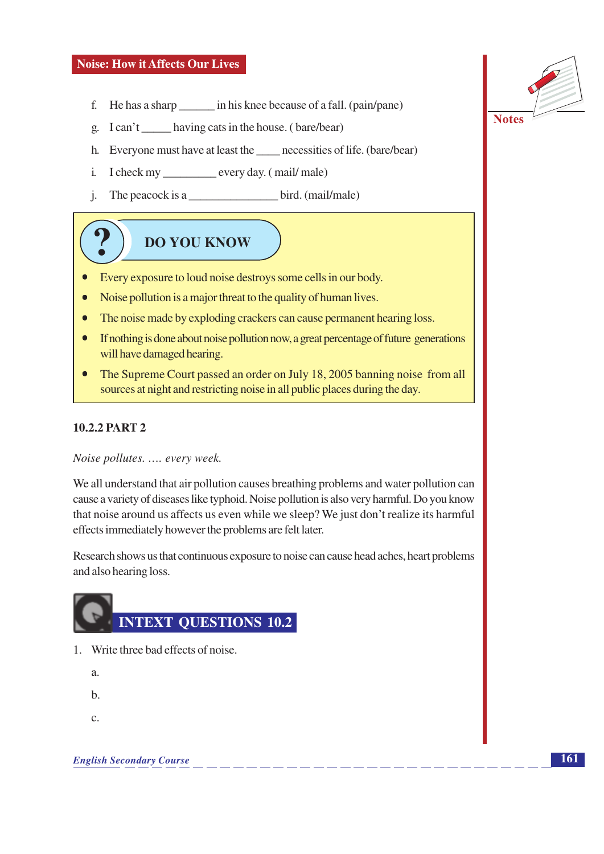- f. He has a sharp \_\_\_\_\_\_\_\_ in his knee because of a fall. (pain/pane)
- g. I can't having cats in the house. (bare/bear)
- h. Everyone must have at least the necessities of life. (bare/bear)
- i. I check my \_\_\_\_\_\_\_\_\_\_\_ every day. (mail/male)
- The peacock is a bird. (mail/male)  $i$ .

## **DO YOU KNOW**

- Every exposure to loud noise destroys some cells in our body.  $\bullet$
- Noise pollution is a major threat to the quality of human lives.
- The noise made by exploding crackers can cause permanent hearing loss.
- If nothing is done about noise pollution now, a great percentage of future generations will have damaged hearing.
- The Supreme Court passed an order on July 18, 2005 banning noise from all sources at night and restricting noise in all public places during the day.

#### **10.2.2 PART 2**

Noise pollutes. .... every week.

We all understand that air pollution causes breathing problems and water pollution can cause a variety of diseases like typhoid. Noise pollution is also very harmful. Do you know that noise around us affects us even while we sleep? We just don't realize its harmful effects immediately however the problems are felt later.

Research shows us that continuous exposure to noise can cause head aches, heart problems and also hearing loss.



- 1. Write three bad effects of noise.
	- $\overline{a}$ .
	- $h$
	- $\mathbf{C}$ .

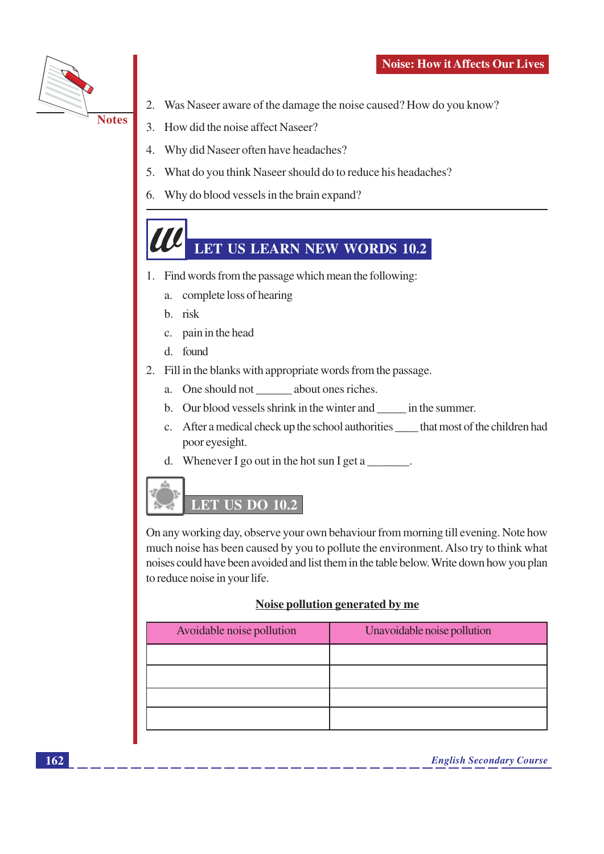

- 2. Was Naseer aware of the damage the noise caused? How do you know?
- 3. How did the noise affect Naseer?
- Why did Naseer often have headaches?  $\overline{4}$ .
- 5. What do you think Naseer should do to reduce his headaches?
- 6. Why do blood vessels in the brain expand?

### LET US LEARN NEW WORDS 10.2

- 1. Find words from the passage which mean the following:
	- a. complete loss of hearing
	- b. risk
	- c. pain in the head
	- $d$  found
- 2. Fill in the blanks with appropriate words from the passage.
	- a. One should not about ones riches.
	- b. Our blood vessels shrink in the winter and \_\_\_\_\_\_ in the summer.
	- c. After a medical check up the school authorities \_\_\_\_\_\_ that most of the children had poor eyesight.
	- d. Whenever I go out in the hot sun I get a  $\blacksquare$



On any working day, observe your own behaviour from morning till evening. Note how much noise has been caused by you to pollute the environment. Also try to think what noises could have been avoided and list them in the table below. Write down how you plan to reduce noise in your life.

#### Noise pollution generated by me

| Avoidable noise pollution | Unavoidable noise pollution |
|---------------------------|-----------------------------|
|                           |                             |
|                           |                             |
|                           |                             |
|                           |                             |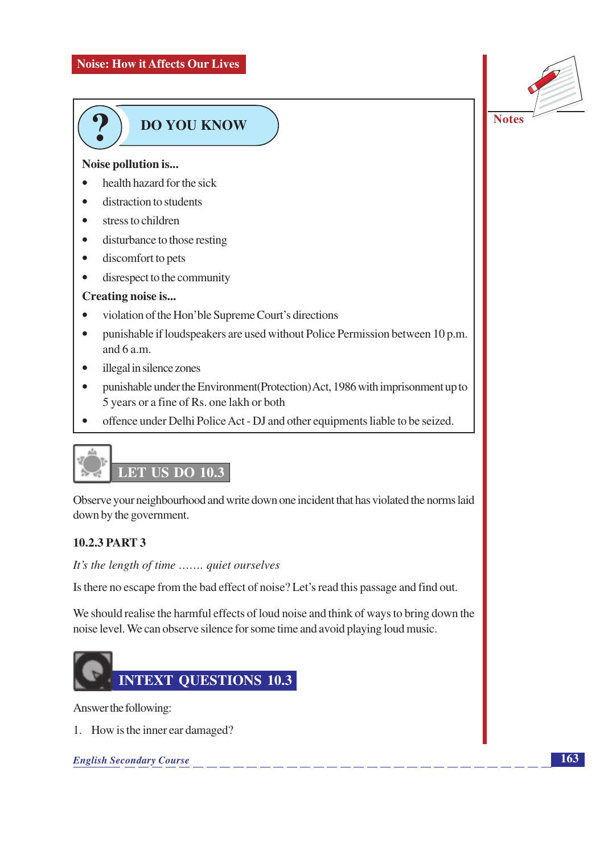

## **DO YOU KNOW**

#### Noise pollution is...

- $\bullet$ health hazard for the sick
- distraction to students  $\bullet$
- stress to children  $\bullet$
- $\bullet$ disturbance to those resting
- discomfort to pets  $\bullet$
- $\bullet$ disrespect to the community

#### Creating noise is...

- $\bullet$ violation of the Hon'ble Supreme Court's directions
- punishable if loudspeakers are used without Police Permission between 10 p.m.  $\bullet$ and 6 a.m.
- illegal in silence zones  $\bullet$
- punishable under the Environment (Protection) Act, 1986 with imprisonment up to  $\bullet$ 5 years or a fine of Rs. one lakh or both
- offence under Delhi Police Act DJ and other equipments liable to be seized.



Observe your neighbourhood and write down one incident that has violated the norms laid down by the government.

#### **10.2.3 PART 3**

It's the length of time ....... quiet ourselves

Is there no escape from the bad effect of noise? Let's read this passage and find out.

We should realise the harmful effects of loud noise and think of ways to bring down the noise level. We can observe silence for some time and avoid playing loud music.



Answer the following:

1. How is the inner ear damaged?

**English Secondary Course**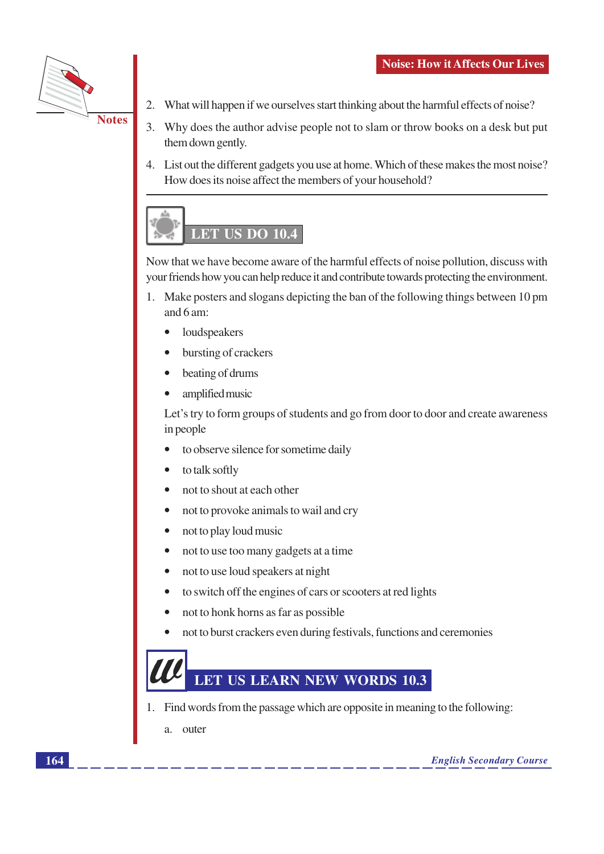

- $2.$ What will happen if we ourselves start thinking about the harmful effects of noise?
- 3. Why does the author advise people not to slam or throw books on a desk but put them down gently.
- 4. List out the different gadgets you use at home. Which of these makes the most noise? How does its noise affect the members of your household?



Now that we have become aware of the harmful effects of noise pollution, discuss with your friends how you can help reduce it and contribute towards protecting the environment.

- 1. Make posters and slogans depicting the ban of the following things between 10 pm and  $6$  am:
	- loudspeakers
	- bursting of crackers
	- beating of drums
	- amplified music

Let's try to form groups of students and go from door to door and create awareness in people

- to observe silence for sometime daily
- to talk softly
- not to shout at each other
- not to provoke animals to wail and cry
- not to play loud music  $\bullet$
- not to use too many gadgets at a time
- not to use loud speakers at night
- to switch off the engines of cars or scooters at red lights
- not to honk horns as far as possible
- not to burst crackers even during festivals, functions and ceremonies  $\bullet$



- 1. Find words from the passage which are opposite in meaning to the following:
	- a. outer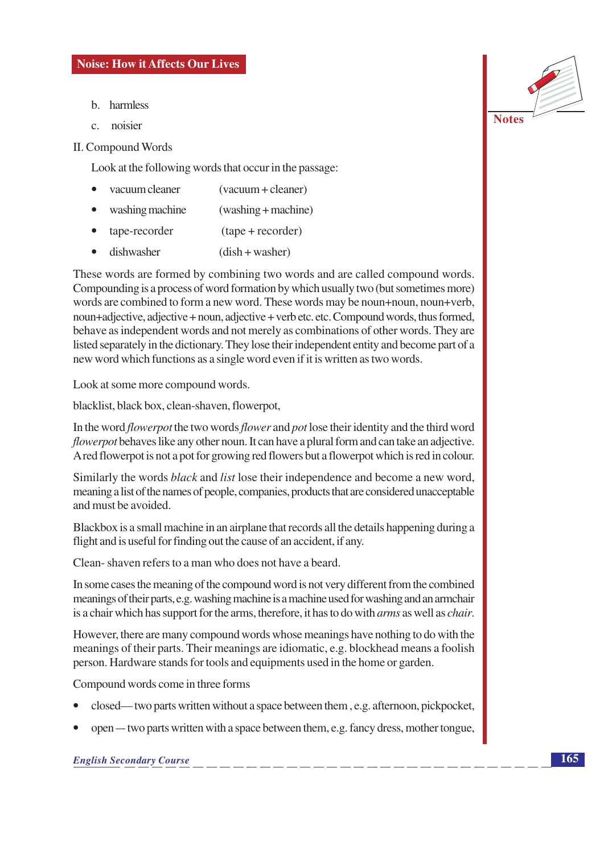- b. harmless
- $\mathcal{C}$ noisier

#### **II. Compound Words**

Look at the following words that occur in the passage:

- vacuum cleaner  $(vacuum + cleaner)$
- washing machine  $(washing + machine)$  $\bullet$
- tape-recorder  $(tape + recorder)$
- dishwasher  $(dish + washer)$

These words are formed by combining two words and are called compound words. Compounding is a process of word formation by which usually two (but sometimes more) words are combined to form a new word. These words may be noun+noun, noun+verb, noun+adjective, adjective + noun, adjective + verb etc. etc. Compound words, thus formed, behave as independent words and not merely as combinations of other words. They are listed separately in the dictionary. They lose their independent entity and become part of a new word which functions as a single word even if it is written as two words.

Look at some more compound words.

blacklist, black box, clean-shaven, flowerpot,

In the word *flowerpot* the two words *flower* and *pot* lose their identity and the third word *flowerpot* behaves like any other noun. It can have a plural form and can take an adjective. A red flowerpot is not a pot for growing red flowers but a flowerpot which is red in colour.

Similarly the words *black* and *list* lose their independence and become a new word, meaning a list of the names of people, companies, products that are considered unacceptable and must be avoided.

Blackbox is a small machine in an airplane that records all the details happening during a flight and is useful for finding out the cause of an accident, if any.

Clean-shaven refers to a man who does not have a beard.

In some cases the meaning of the compound word is not very different from the combined meanings of their parts, e.g. washing machine is a machine used for washing and an armchair is a chair which has support for the arms, therefore, it has to do with *arms* as well as *chair*.

However, there are many compound words whose meanings have nothing to do with the meanings of their parts. Their meanings are idiomatic, e.g. blockhead means a foolish person. Hardware stands for tools and equipments used in the home or garden.

Compound words come in three forms

- closed—two parts written without a space between them, e.g. afternoon, pickpocket,
- open two parts written with a space between them, e.g. fancy dress, mother tongue,

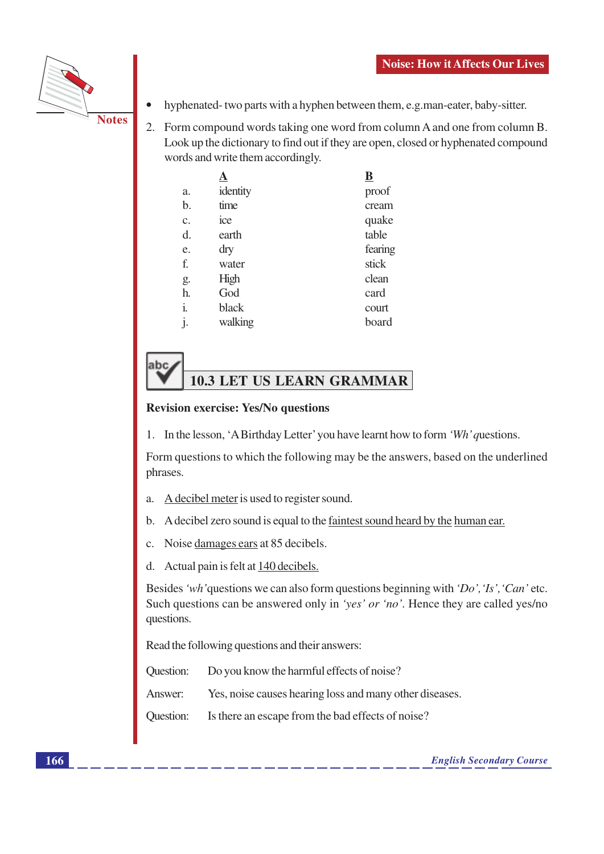

- hyphenated-two parts with a hyphen between them, e.g.man-eater, baby-sitter.
- 2. Form compound words taking one word from column A and one from column B. Look up the dictionary to find out if they are open, closed or hyphenated compound words and write them accordingly.

|                |          | ${\bf \overline{B}}$ |
|----------------|----------|----------------------|
| a.             | identity | proof                |
| b.             | time     | cream                |
| c.             | ice      | quake                |
| d.             | earth    | table                |
| e.             | dry      | fearing              |
| f.             | water    | stick                |
| g.             | High     | clean                |
| h.             | God      | card                 |
| i.             | black    | court                |
| $\mathbf{j}$ . | walking  | board                |
|                |          |                      |

## **10.3 LET US LEARN GRAMMAR**

#### **Revision exercise: Yes/No questions**

labc

1. In the lesson, 'A Birthday Letter' you have learnt how to form 'Wh' questions.

Form questions to which the following may be the answers, based on the underlined phrases.

- A decibel meter is used to register sound.  $\overline{a}$ .
- A decibel zero sound is equal to the faintest sound heard by the human ear.  $\mathbf{b}$ .
- Noise damages ears at 85 decibels.  $\mathcal{C}$ .
- Actual pain is felt at 140 decibels.  $d_{\cdot}$

Besides 'wh' questions we can also form questions beginning with 'Do', 'Is', 'Can' etc. Such questions can be answered only in 'yes' or 'no'. Hence they are called yes/no questions.

Read the following questions and their answers:

Question: Do you know the harmful effects of noise?

Yes, noise causes hearing loss and many other diseases. Answer:

Is there an escape from the bad effects of noise? **Ouestion:**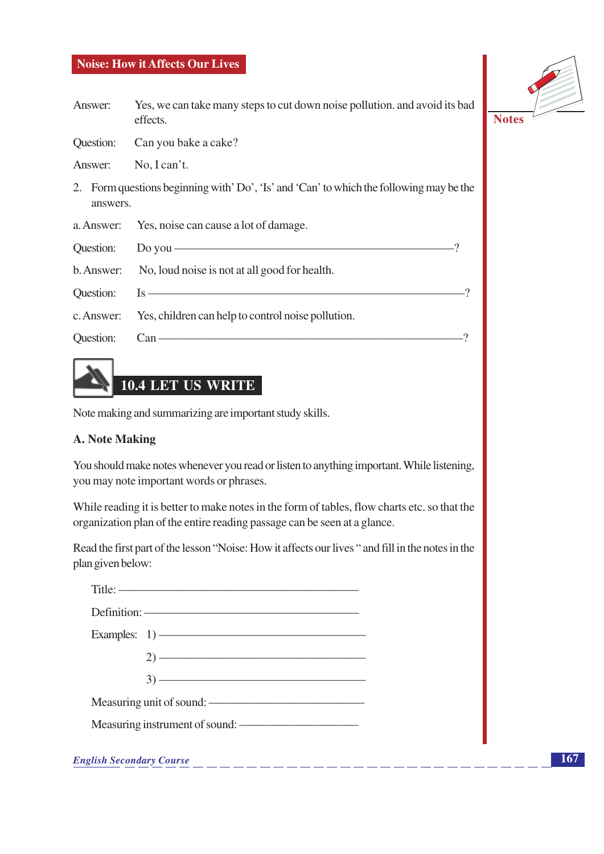- Answer: Yes, we can take many steps to cut down noise pollution. and avoid its bad effects.
- Question: Can you bake a cake?

Answer: No. I can't.

- 2. Form questions beginning with' Do', 'Is' and 'Can' to which the following may be the answers.
- Yes, noise can cause a lot of damage. a. Answer:
- $\sqrt{2}$ Question: Do you  $-$ No, loud noise is not at all good for health. b. Answer:  $\mathcal{P}$ **Ouestion:**  $Is$  c. Answer: Yes, children can help to control noise pollution.
- **Question:**  $Can$ —



Note making and summarizing are important study skills.

#### **A. Note Making**

You should make notes whenever you read or listen to anything important. While listening, you may note important words or phrases.

While reading it is better to make notes in the form of tables, flow charts etc. so that the organization plan of the entire reading passage can be seen at a glance.

Read the first part of the lesson "Noise: How it affects our lives" and fill in the notes in the plan given below:

|                                               | $\text{Title:}$                |  |
|-----------------------------------------------|--------------------------------|--|
|                                               | Definition: —————————————————— |  |
|                                               |                                |  |
|                                               |                                |  |
|                                               |                                |  |
| Measuring unit of sound: ———————————————————— |                                |  |
| Measuring instrument of sound:                |                                |  |

**English Secondary Course** 

 $\mathcal{P}$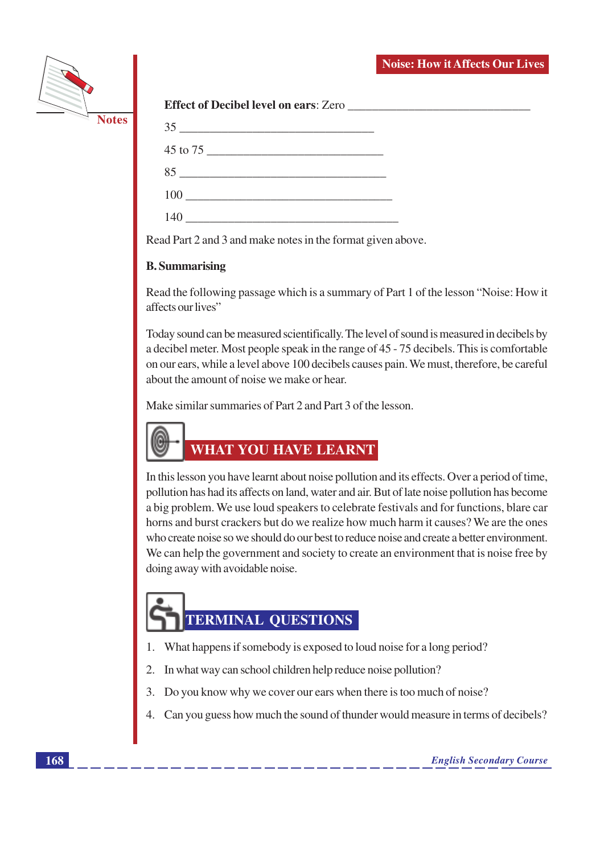

|  | <b>Effect of Decibel level on ears: Zero</b> |
|--|----------------------------------------------|
|--|----------------------------------------------|

| 35<br>the control of the control of the control of the control of the control of the control of |  |
|-------------------------------------------------------------------------------------------------|--|
|                                                                                                 |  |
| $85$                                                                                            |  |
|                                                                                                 |  |
| 140                                                                                             |  |

Read Part 2 and 3 and make notes in the format given above.

#### **B.** Summarising

Read the following passage which is a summary of Part 1 of the lesson "Noise: How it affects our lives"

Today sound can be measured scientifically. The level of sound is measured in decibels by a decibel meter. Most people speak in the range of 45 - 75 decibels. This is comfortable on our ears, while a level above 100 decibels causes pain. We must, therefore, be careful about the amount of noise we make or hear.

Make similar summaries of Part 2 and Part 3 of the lesson.



In this lesson you have learnt about noise pollution and its effects. Over a period of time, pollution has had its affects on land, water and air. But of late noise pollution has become a big problem. We use loud speakers to celebrate festivals and for functions, blare car horns and burst crackers but do we realize how much harm it causes? We are the ones who create noise so we should do our best to reduce noise and create a better environment. We can help the government and society to create an environment that is noise free by doing away with avoidable noise.

## **TERMINAL QUESTIONS**

- 1. What happens if somebody is exposed to loud noise for a long period?
- In what way can school children help reduce noise pollution? 2.
- 3. Do you know why we cover our ears when there is too much of noise?
- 4. Can you guess how much the sound of thunder would measure in terms of decibels?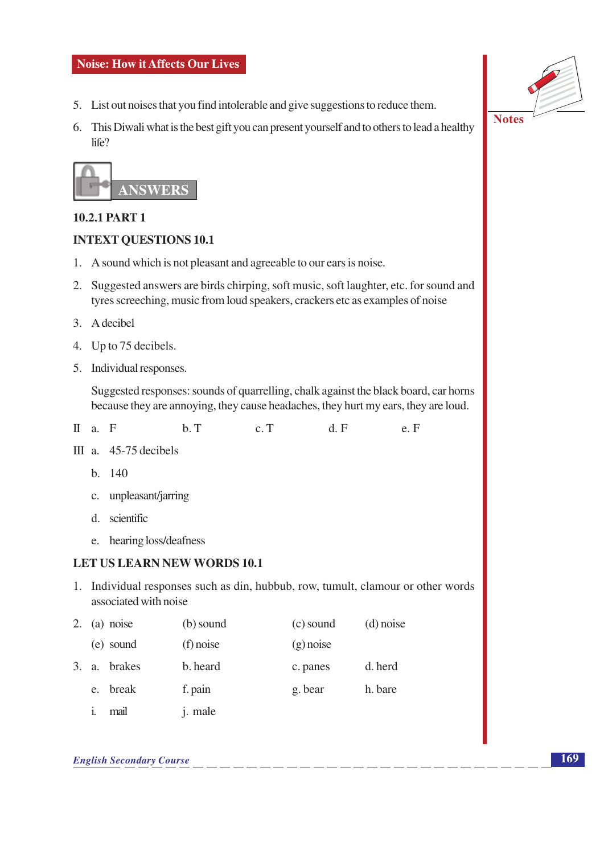- 5. List out noises that you find intolerable and give suggestions to reduce them.
- 6. This Diwali what is the best gift you can present yourself and to others to lead a healthy life?



#### **10.2.1 PART 1**

#### **INTEXT OUESTIONS 10.1**

- 1. A sound which is not pleasant and agreeable to our ears is noise.
- 2. Suggested answers are birds chirping, soft music, soft laughter, etc. for sound and tyres screeching, music from loud speakers, crackers etc as examples of noise
- 3. A decibel
- 4. Up to 75 decibels.
- 5. Individual responses.

Suggested responses: sounds of quarrelling, chalk against the black board, car horns because they are annoying, they cause headaches, they hurt my ears, they are loud.

- II a. F  $b$ . T  $d$ .  $F$  $c. T$  $e. F$
- III a.  $45-75$  decibels
	- $h = 140$
	- c. unpleasant/jarring
	- d scientific
	- e. hearing loss/deafness

#### **LET US LEARN NEW WORDS 10.1**

1. Individual responses such as din, hubbub, row, tumult, clamour or other words associated with noise

|  | 2. (a) noise | (b) sound   | (c) sound   | $(d)$ noise |
|--|--------------|-------------|-------------|-------------|
|  | (e) sound    | $(f)$ noise | $(g)$ noise |             |
|  | 3. a. brakes | b. heard    | c. panes    | d. herd     |
|  | e. break     | f. pain     | g. bear     | h. bare     |
|  |              |             |             |             |

i. mail j. male



**169**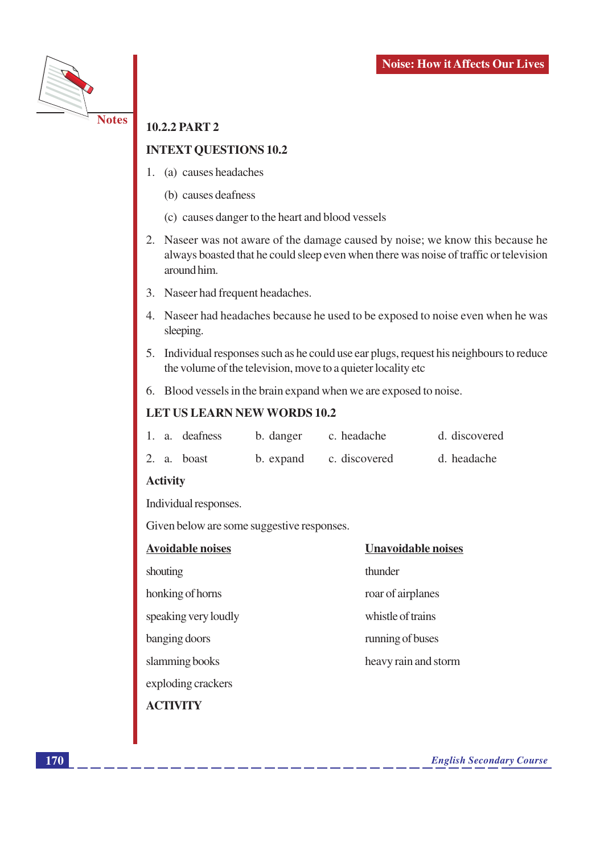

#### **10.2.2 PART 2**

#### **INTEXT QUESTIONS 10.2**

- 1. (a) causes headaches
	- (b) causes deafness
	- (c) causes danger to the heart and blood vessels
- 2. Naseer was not aware of the damage caused by noise; we know this because he always boasted that he could sleep even when there was noise of traffic or television around him.
- 3. Naseer had frequent headaches.
- 4. Naseer had headaches because he used to be exposed to noise even when he was sleeping.
- 5. Individual responses such as he could use ear plugs, request his neighbours to reduce the volume of the television, move to a quieter locality etc
- 6. Blood vessels in the brain expand when we are exposed to noise.

#### LET US LEARN NEW WORDS 10.2

|  | 1. a. deafness | b. danger | c. headache             | d. discovered |
|--|----------------|-----------|-------------------------|---------------|
|  | 2. a. boast    |           | b. expand c. discovered | d. headache   |

#### **Activity**

Individual responses.

Given below are some suggestive responses.

| <b>Avoidable noises</b> | <b>Unavoidable noises</b> |
|-------------------------|---------------------------|
| shouting                | thunder                   |
| honking of horns        | roar of airplanes         |
| speaking very loudly    | whistle of trains         |
| banging doors           | running of buses          |
| slamming books          | heavy rain and storm      |
| exploding crackers      |                           |
| <b>A C'TIVITY</b>       |                           |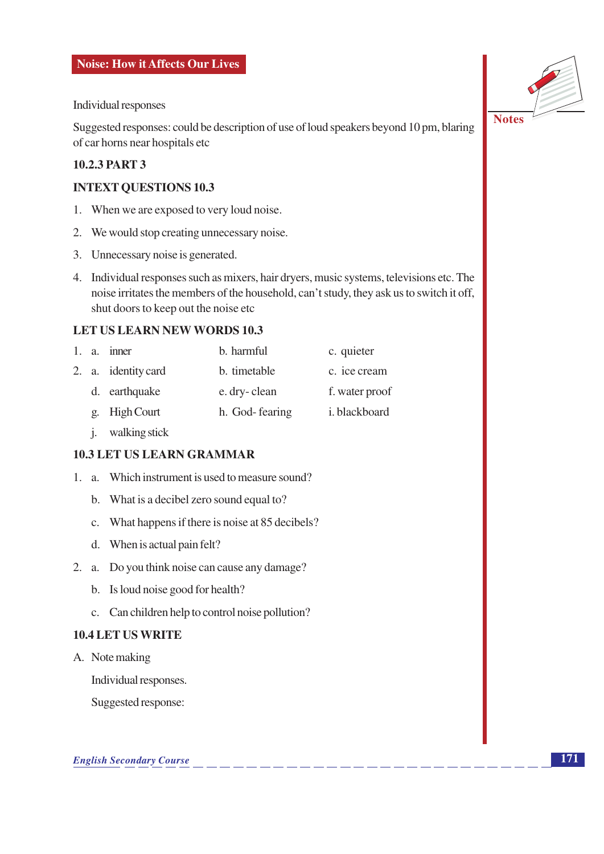Individual responses

Suggested responses: could be description of use of loud speakers beyond 10 pm, blaring of car horns near hospitals etc

#### **10.2.3 PART 3**

#### **INTEXT QUESTIONS 10.3**

- 1. When we are exposed to very loud noise.
- 2. We would stop creating unnecessary noise.
- 3. Unnecessary noise is generated.
- 4. Individual responses such as mixers, hair dryers, music systems, televisions etc. The noise irritates the members of the household, can't study, they ask us to switch it off, shut doors to keep out the noise etc

#### **LET US LEARN NEW WORDS 10.3**

|  | 1. a. inner         | b. harmful     | c. quieter            |
|--|---------------------|----------------|-----------------------|
|  | 2. a. identity card | b. timetable   | c. ice cream          |
|  | d. earthquake       | e. dry-clean   | f. water proof        |
|  | g. High Court       | h. God-fearing | <i>i</i> . blackboard |
|  |                     |                |                       |

j. walking stick

#### **10.3 LET US LEARN GRAMMAR**

- 1. a. Which instrument is used to measure sound?
	- b. What is a decibel zero sound equal to?
	- c. What happens if there is noise at 85 decibels?
	- d. When is actual pain felt?
- 2. a. Do you think noise can cause any damage?
	- b. Is loud noise good for health?
	- c. Can children help to control noise pollution?

#### **10.4 LET US WRITE**

A. Note making

Individual responses.

Suggested response:



**Notes**